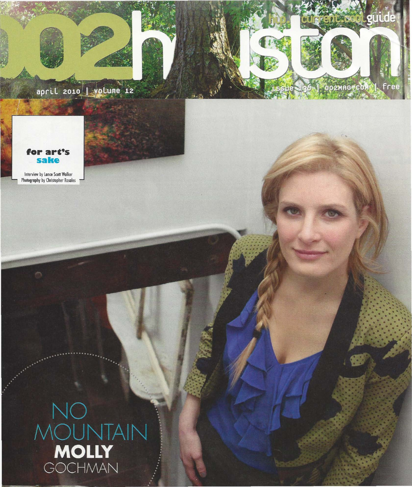



Interview by Lance Scott Walker Photography by Christopher Rosales

# NOUNTAIN<br>MOUNTAIN<br>GOCHMAN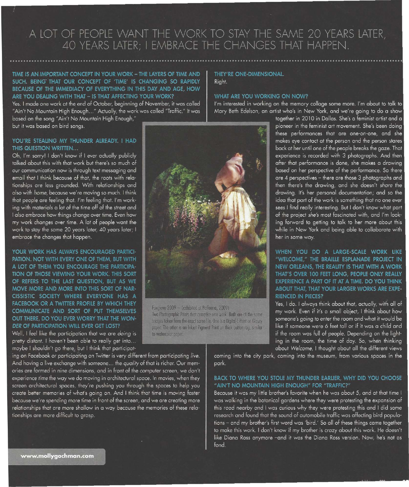### A LOT OF PEOPLE WANT THE WORK TO STAY THE SAME 20 YEARS LATER, 40 YEARS LATER; I EMBRACE THE CHANGES THAT HAPPEN.

#### TIME IS AN IMPORTANT CONCEPT IN YOUR WORK - THE LAYERS OF TIME AND SUCH, BEING THAT OUR CONCEPT OF 'TIME' IS CHANGING SO RAPIDLY BECAUSE OF THE IMMEDIACY OF EVERYTHING IN THIS DAY AND AGE, HOW ARE YOU DEALING WITH THAT - IS THAT AFFECTING YOUR WORK?

Yes. I made one work at the end of October, beginning of November, it was called "Ain't No Mountain High Enough..." Actually, the work was called "Traffic." It was based on the song "Ain't No Mountain High Enough,"

but it was based on bird songs.

#### YOU'RE STEALING MY THUNDER ALREADY. I HAD THIS QUESTION WRITTEN

Oh, I'm sorry! I don't know if I ever actually publicly talked about this with that work but there's so much of our communication now is through text messaging and email that I think because of that, the roots with relationships are less grounded. With relationships and also with *home*, because we're moving so much. I think that people are feeling that. I'm feeling that. I'm working with materials a lot of the time off of the street and I also embrace how things change over time. Even how my work changes over time. A lot of people want the work to stay the same 20 years later, 40 years later; I embrace the changes that happen.

YOUR WORK HAS ALWAYS ENCOURAGED PARTICI-PATION. NOT WITH EVERY ONE OF THEM, BUT WITH A LOT OF THEM YOU ENCOURAGE THE PARTICIPA-TION OF THOSE VIEWING YOUR WORK. THIS SORT OF REFERS TO THE LAST QUESTION, BUT AS WE MOVE MORE AND MORE INTO THIS SORT OF NAR-CISSISTIC SOCIETY WHERE EVERYONE HAS A FACEBOOK OR A TWITTER PROFILE BY WHICH THEY COMMUNICATE AND SORT OF PUT THEMSELVES OUT THERE, DO YOU EVER WORRY THAT THE WON-DER OF PARTICIPATION WILL EVER GET LOST?

Well, I feel like the participation that we are doing is pretty distant. I haven't been able to really get into... maybe I shouldn't go there, but I think that participat-

ing on Facebook or participating on Twitter is very different from participating live. And having a live exchange with someone... the quality of that is richer. Our memories are formed in nine dimensions, and in front of the computer screen, we don't experience time the way we do moving in architectural space. In movies, when they screen architectural spaces, they're pushing you through the spaces to help you create better memories of what's going on. And I think that time is moving faster because we're spending more time in front of the screen, and we are creating more relationships that are more shallow in a way because the memories of these relationships are more difficult to grasp.

## **WHAT ARE YOU WORKING ON NOW?**

Right.

THEY'RE ONE-DIMENSIONAL.

I'm interested in working on the memory collage some more. I'm about to talk to Mary Beth Edelson, an artist who's in New York, and we're going to do a show

> together in 2010 in Dallas. She's a feminist artist and a pioneer in the feminist art movement. She's been doing these performances that are one-on-one, and she makes eye contact at the person and the person stares back at her until one of the people breaks the gaze. That experience is recorded with 3 photographs. And then after that performance is done, she makes a drawing based on her perspective of the performance. So there are 4 perspectives - there are those 3 photographs and then there's the drawing, and she doesn't share the drawing. It's her personal documentation; and so the idea that part of the work is something that no one ever sees I find really interesting. But I don't know what part of the project she's most fascinated with, and I'm looking forward to getting to talk to her more about this while in New York and being able to collaborate with her in some way.

#### WHEN YOU DO A LARGE-SCALE WORK LIKE "WELCOME." THE BRAILLE ESPLANADE PROJECT IN NEW ORLEANS, THE REALITY IS THAT WITH A WORK THAT'S OVER 100 FEET LONG, PEOPLE ONLY REALLY EXPERIENCE A PART OF IT AT A TIME. DO YOU THINK ABOUT THAT. THAT YOUR LARGER WORKS ARE EXPE-**RIENCED IN PIECES?**

Yes, I do. I always think about that, actually, with all of my work. Even if it's a small object, I think about how someone's going to enter the room and what it would be like if someone were 6 feet tall or if it was a child and if the room was full of people. Depending on the lighting in the room, the time of day. So, when thinking about Welcome, I thought about all the different views

coming into the city park, coming into the museum, from various spaces in the park.

#### BACK TO WHERE YOU STOLE MY THUNDER EARLIER, WHY DID YOU CHOOSE "AIN'T NO MOUNTAIN HIGH ENOUGH" FOR "TRAFFIC?"

Because it was my little brother's favorite when he was about 5, and at that time I was walking in the botanical gardens where they were protesting the expansion of this road nearby and I was curious why they were protesting this and I did some research and found that the sound of automobile traffic was affecting bird populations - and my brother's first word was 'bird.' So all of these things came together to make this work. I don't know if my brother is crazy about this work. He doesn't like Diana Ross anymore -and it was the Diana Ross version. Now, he's not as fond.



Foxclove 2009 - (exhibited at Performa, 2009). Two Photographic Prints that comprise one work. Both are of the same images taken from the exact same file. One is a Digital C-Print on Glossy paper. The other is an Inkjet Pigment Print on thick cotton rag, similar to watercolor paper.